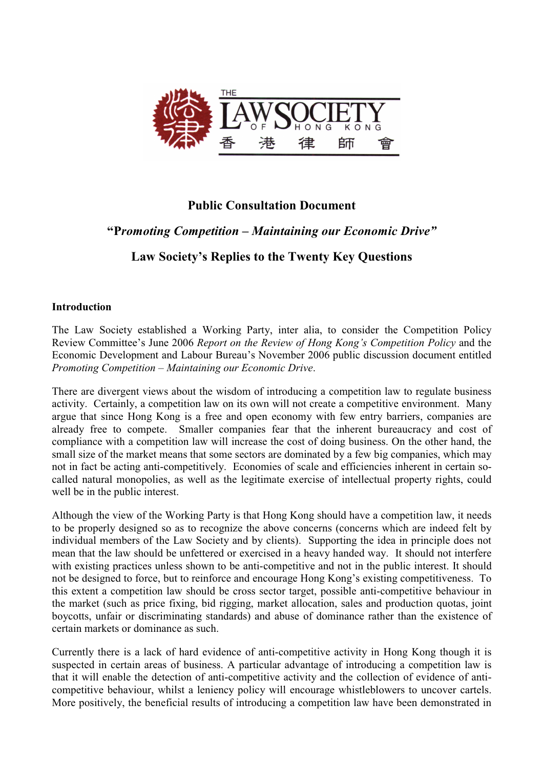

# **Public Consultation Document**

# "Promoting Competition – Maintaining our Economic Drive"

# Law Society's Replies to the Twenty Key Questions

# **Introduction**

The Law Society established a Working Party, inter alia, to consider the Competition Policy Review Committee's June 2006 Report on the Review of Hong Kong's Competition Policy and the Economic Development and Labour Bureau's November 2006 public discussion document entitled Promoting Competition – Maintaining our Economic Drive.

There are divergent views about the wisdom of introducing a competition law to regulate business activity. Certainly, a competition law on its own will not create a competitive environment. Many argue that since Hong Kong is a free and open economy with few entry barriers, companies are Smaller companies fear that the inherent bureaucracy and cost of already free to compete. compliance with a competition law will increase the cost of doing business. On the other hand, the small size of the market means that some sectors are dominated by a few big companies, which may not in fact be acting anti-competitively. Economies of scale and efficiencies inherent in certain socalled natural monopolies, as well as the legitimate exercise of intellectual property rights, could well be in the public interest.

Although the view of the Working Party is that Hong Kong should have a competition law, it needs to be properly designed so as to recognize the above concerns (concerns which are indeed felt by individual members of the Law Society and by clients). Supporting the idea in principle does not mean that the law should be unfettered or exercised in a heavy handed way. It should not interfere with existing practices unless shown to be anti-competitive and not in the public interest. It should not be designed to force, but to reinforce and encourage Hong Kong's existing competitiveness. To this extent a competition law should be cross sector target, possible anti-competitive behaviour in the market (such as price fixing, bid rigging, market allocation, sales and production quotas, joint boycotts, unfair or discriminating standards) and abuse of dominance rather than the existence of certain markets or dominance as such.

Currently there is a lack of hard evidence of anti-competitive activity in Hong Kong though it is suspected in certain areas of business. A particular advantage of introducing a competition law is that it will enable the detection of anti-competitive activity and the collection of evidence of anticompetitive behaviour, whilst a leniency policy will encourage whistleblowers to uncover cartels. More positively, the beneficial results of introducing a competition law have been demonstrated in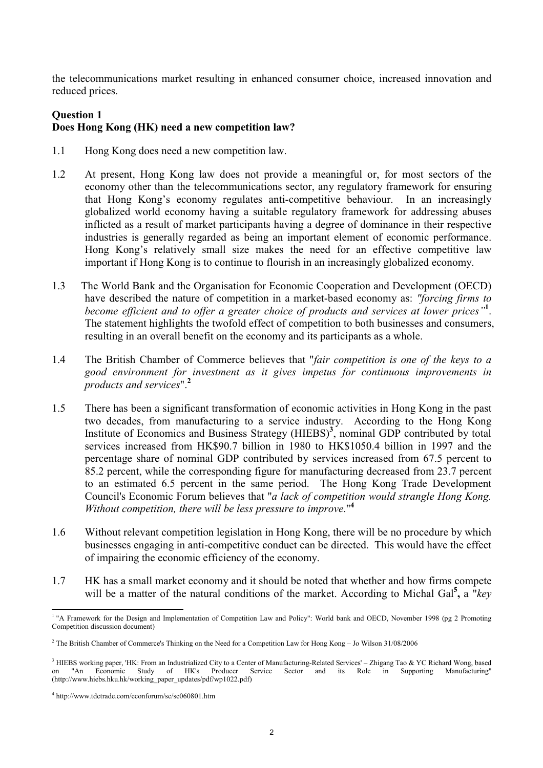the telecommunications market resulting in enhanced consumer choice, increased innovation and reduced prices.

### **Question 1**

# Does Hong Kong (HK) need a new competition law?

- Hong Kong does need a new competition law.  $1.1$
- $1.2$ At present, Hong Kong law does not provide a meaningful or, for most sectors of the economy other than the telecommunications sector, any regulatory framework for ensuring that Hong Kong's economy regulates anti-competitive behaviour. In an increasingly globalized world economy having a suitable regulatory framework for addressing abuses inflicted as a result of market participants having a degree of dominance in their respective industries is generally regarded as being an important element of economic performance. Hong Kong's relatively small size makes the need for an effective competitive law important if Hong Kong is to continue to flourish in an increasingly globalized economy.
- The World Bank and the Organisation for Economic Cooperation and Development (OECD)  $1.3$ have described the nature of competition in a market-based economy as: "forcing firms to become efficient and to offer a greater choice of products and services at lower prices". The statement highlights the twofold effect of competition to both businesses and consumers, resulting in an overall benefit on the economy and its participants as a whole.
- $1.4$ The British Chamber of Commerce believes that "fair competition is one of the keys to a good environment for investment as it gives impetus for continuous improvements in products and services"<sup>2</sup>
- There has been a significant transformation of economic activities in Hong Kong in the past  $1\overline{5}$ two decades, from manufacturing to a service industry. According to the Hong Kong Institute of Economics and Business Strategy (HIEBS)<sup>3</sup>, nominal GDP contributed by total services increased from HK\$90.7 billion in 1980 to HK\$1050.4 billion in 1997 and the percentage share of nominal GDP contributed by services increased from 67.5 percent to 85.2 percent, while the corresponding figure for manufacturing decreased from 23.7 percent to an estimated 6.5 percent in the same period. The Hong Kong Trade Development Council's Economic Forum believes that "a lack of competition would strangle Hong Kong. Without competition, there will be less pressure to improve."<sup>4</sup>
- 1.6 Without relevant competition legislation in Hong Kong, there will be no procedure by which businesses engaging in anti-competitive conduct can be directed. This would have the effect of impairing the economic efficiency of the economy.
- 1.7 HK has a small market economy and it should be noted that whether and how firms compete will be a matter of the natural conditions of the market. According to Michal Gal<sup>5</sup>, a "key"

<sup>&</sup>lt;sup>1</sup> "A Framework for the Design and Implementation of Competition Law and Policy": World bank and OECD, November 1998 (pg 2 Promoting Competition discussion document)

<sup>&</sup>lt;sup>2</sup> The British Chamber of Commerce's Thinking on the Need for a Competition Law for Hong Kong – Jo Wilson 31/08/2006

<sup>&</sup>lt;sup>3</sup> HIEBS working paper, 'HK: From an Industrialized City to a Center of Manufacturing-Related Services' - Zhigang Tao & YC Richard Wong, based "An Economic Study of HK's Producer Service Sector and its Role in Supporting Manufacturing"  $\alpha$ n (http://www.hiebs.hku.hk/working\_paper\_updates/pdf/wp1022.pdf)

<sup>&</sup>lt;sup>4</sup> http://www.tdctrade.com/econforum/sc/sc060801.htm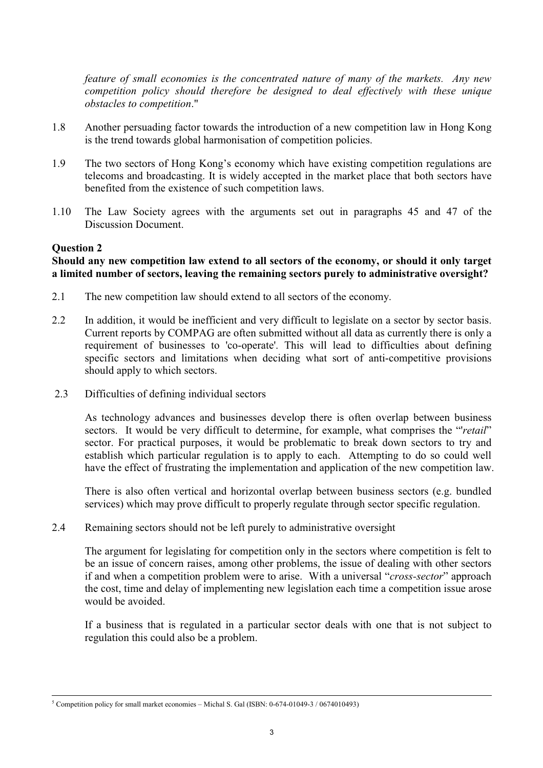feature of small economies is the concentrated nature of many of the markets. Any new competition policy should therefore be designed to deal effectively with these unique obstacles to competition."

- $18$ Another persuading factor towards the introduction of a new competition law in Hong Kong is the trend towards global harmonisation of competition policies.
- 1.9 The two sectors of Hong Kong's economy which have existing competition regulations are telecoms and broadcasting. It is widely accepted in the market place that both sectors have benefited from the existence of such competition laws.
- 1.10 The Law Society agrees with the arguments set out in paragraphs 45 and 47 of the Discussion Document.

### **Question 2**

### Should any new competition law extend to all sectors of the economy, or should it only target a limited number of sectors, leaving the remaining sectors purely to administrative oversight?

- $2.1$ The new competition law should extend to all sectors of the economy.
- $2.2$ In addition, it would be inefficient and very difficult to legislate on a sector by sector basis. Current reports by COMPAG are often submitted without all data as currently there is only a requirement of businesses to 'co-operate'. This will lead to difficulties about defining specific sectors and limitations when deciding what sort of anti-competitive provisions should apply to which sectors.
- $2.3$ Difficulties of defining individual sectors

As technology advances and businesses develop there is often overlap between business sectors. It would be very difficult to determine, for example, what comprises the "retail" sector. For practical purposes, it would be problematic to break down sectors to try and establish which particular regulation is to apply to each. Attempting to do so could well have the effect of frustrating the implementation and application of the new competition law.

There is also often vertical and horizontal overlap between business sectors (e.g. bundled services) which may prove difficult to properly regulate through sector specific regulation.

 $2.4$ Remaining sectors should not be left purely to administrative oversight

The argument for legislating for competition only in the sectors where competition is felt to be an issue of concern raises, among other problems, the issue of dealing with other sectors if and when a competition problem were to arise. With a universal "cross-sector" approach the cost, time and delay of implementing new legislation each time a competition issue arose would be avoided.

If a business that is regulated in a particular sector deals with one that is not subject to regulation this could also be a problem.

<sup>&</sup>lt;sup>5</sup> Competition policy for small market economies – Michal S. Gal (ISBN:  $0-674-01049-3/0674010493$ )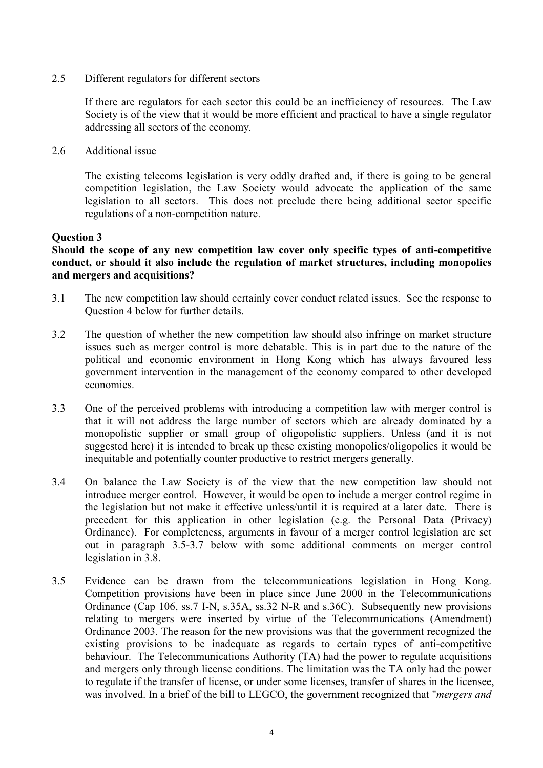$2.5$ Different regulators for different sectors

> If there are regulators for each sector this could be an inefficiency of resources. The Law Society is of the view that it would be more efficient and practical to have a single regulator addressing all sectors of the economy.

2.6 Additional issue

> The existing telecoms legislation is very oddly drafted and, if there is going to be general competition legislation, the Law Society would advocate the application of the same legislation to all sectors. This does not preclude there being additional sector specific regulations of a non-competition nature.

# **Ouestion 3**

Should the scope of any new competition law cover only specific types of anti-competitive conduct, or should it also include the regulation of market structures, including monopolies and mergers and acquisitions?

- $3.1$ The new competition law should certainly cover conduct related issues. See the response to Question 4 below for further details.
- $3.2$ The question of whether the new competition law should also infringe on market structure issues such as merger control is more debatable. This is in part due to the nature of the political and economic environment in Hong Kong which has always favoured less government intervention in the management of the economy compared to other developed economies.
- $3<sup>3</sup>$ One of the perceived problems with introducing a competition law with merger control is that it will not address the large number of sectors which are already dominated by a monopolistic supplier or small group of oligopolistic suppliers. Unless (and it is not suggested here) it is intended to break up these existing monopolies/oligopolies it would be inequitable and potentially counter productive to restrict mergers generally.
- $3.4$ On balance the Law Society is of the view that the new competition law should not introduce merger control. However, it would be open to include a merger control regime in the legislation but not make it effective unless/until it is required at a later date. There is precedent for this application in other legislation (e.g. the Personal Data (Privacy) Ordinance). For completeness, arguments in favour of a merger control legislation are set out in paragraph 3.5-3.7 below with some additional comments on merger control legislation in 3.8.
- $3.5$ Evidence can be drawn from the telecommunications legislation in Hong Kong. Competition provisions have been in place since June 2000 in the Telecommunications Ordinance (Cap 106, ss.7 I-N, s.35A, ss.32 N-R and s.36C). Subsequently new provisions relating to mergers were inserted by virtue of the Telecommunications (Amendment) Ordinance 2003. The reason for the new provisions was that the government recognized the existing provisions to be inadequate as regards to certain types of anti-competitive behaviour. The Telecommunications Authority (TA) had the power to regulate acquisitions and mergers only through license conditions. The limitation was the TA only had the power to regulate if the transfer of license, or under some licenses, transfer of shares in the licensee, was involved. In a brief of the bill to LEGCO, the government recognized that "*mergers and*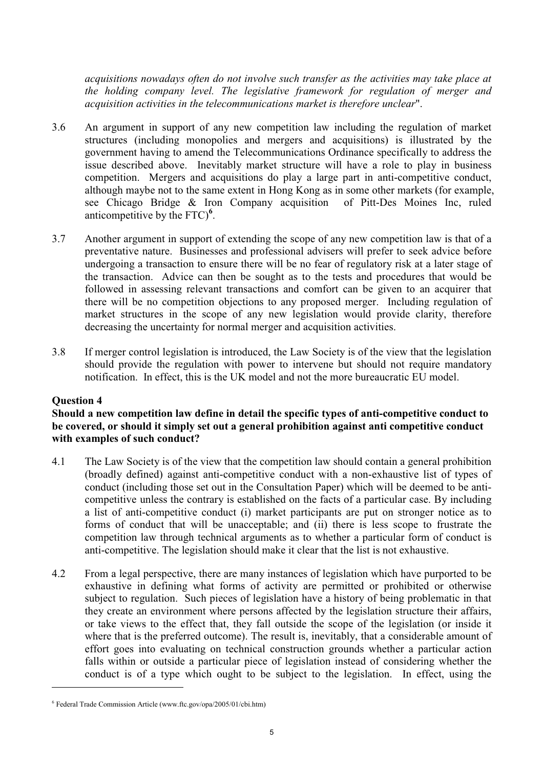acquisitions nowadays often do not involve such transfer as the activities may take place at the holding company level. The legislative framework for regulation of merger and acquisition activities in the telecommunications market is therefore unclear".

- $3.6$ An argument in support of any new competition law including the regulation of market structures (including monopolies and mergers and acquisitions) is illustrated by the government having to amend the Telecommunications Ordinance specifically to address the issue described above. Inevitably market structure will have a role to play in business competition. Mergers and acquisitions do play a large part in anti-competitive conduct, although maybe not to the same extent in Hong Kong as in some other markets (for example, see Chicago Bridge & Iron Company acquisition of Pitt-Des Moines Inc, ruled anticompetitive by the  $\text{FTC}$ <sup>6</sup>.
- $37$ Another argument in support of extending the scope of any new competition law is that of a preventative nature. Businesses and professional advisers will prefer to seek advice before undergoing a transaction to ensure there will be no fear of regulatory risk at a later stage of the transaction. Advice can then be sought as to the tests and procedures that would be followed in assessing relevant transactions and comfort can be given to an acquirer that there will be no competition objections to any proposed merger. Including regulation of market structures in the scope of any new legislation would provide clarity, therefore decreasing the uncertainty for normal merger and acquisition activities.
- 3.8 If merger control legislation is introduced, the Law Society is of the view that the legislation should provide the regulation with power to intervene but should not require mandatory notification. In effect, this is the UK model and not the more bureaucratic EU model.

### **Ouestion 4**

### Should a new competition law define in detail the specific types of anti-competitive conduct to be covered, or should it simply set out a general prohibition against anti competitive conduct with examples of such conduct?

- 4.1 The Law Society is of the view that the competition law should contain a general prohibition (broadly defined) against anti-competitive conduct with a non-exhaustive list of types of conduct (including those set out in the Consultation Paper) which will be deemed to be anticompetitive unless the contrary is established on the facts of a particular case. By including a list of anti-competitive conduct (i) market participants are put on stronger notice as to forms of conduct that will be unacceptable; and (ii) there is less scope to frustrate the competition law through technical arguments as to whether a particular form of conduct is anti-competitive. The legislation should make it clear that the list is not exhaustive.
- $4.2$ From a legal perspective, there are many instances of legislation which have purported to be exhaustive in defining what forms of activity are permitted or prohibited or otherwise subject to regulation. Such pieces of legislation have a history of being problematic in that they create an environment where persons affected by the legislation structure their affairs, or take views to the effect that, they fall outside the scope of the legislation (or inside it where that is the preferred outcome). The result is, inevitably, that a considerable amount of effort goes into evaluating on technical construction grounds whether a particular action falls within or outside a particular piece of legislation instead of considering whether the conduct is of a type which ought to be subject to the legislation. In effect, using the

<sup>&</sup>lt;sup>6</sup> Federal Trade Commission Article (www.ftc.gov/opa/2005/01/cbi.htm)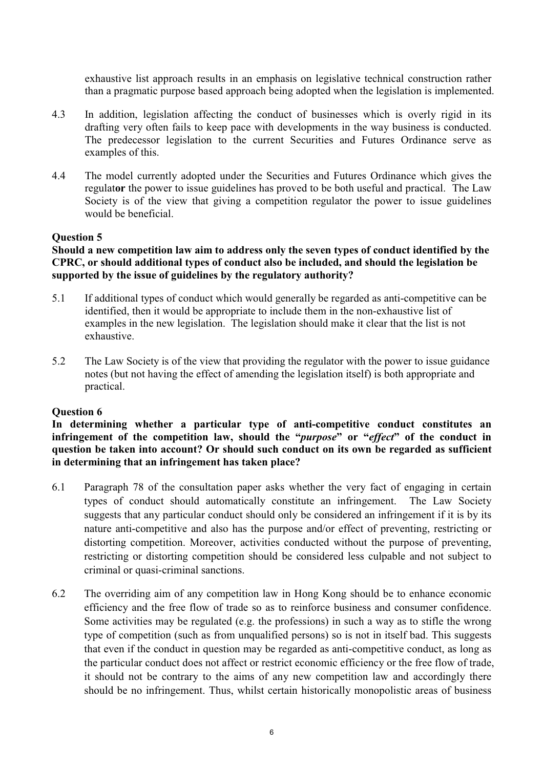exhaustive list approach results in an emphasis on legislative technical construction rather than a pragmatic purpose based approach being adopted when the legislation is implemented.

- $4.3$ In addition, legislation affecting the conduct of businesses which is overly rigid in its drafting very often fails to keep pace with developments in the way business is conducted. The predecessor legislation to the current Securities and Futures Ordinance serve as examples of this.
- $4.4$ The model currently adopted under the Securities and Futures Ordinance which gives the regulator the power to issue guidelines has proved to be both useful and practical. The Law Society is of the view that giving a competition regulator the power to issue guidelines would be beneficial.

# **Ouestion 5**

### Should a new competition law aim to address only the seven types of conduct identified by the CPRC, or should additional types of conduct also be included, and should the legislation be supported by the issue of guidelines by the regulatory authority?

- 5.1 If additional types of conduct which would generally be regarded as anti-competitive can be identified, then it would be appropriate to include them in the non-exhaustive list of examples in the new legislation. The legislation should make it clear that the list is not exhaustive.
- $5.2$ The Law Society is of the view that providing the regulator with the power to issue guidance notes (but not having the effect of amending the legislation itself) is both appropriate and practical.

### **Ouestion 6**

In determining whether a particular type of anti-competitive conduct constitutes an infringement of the competition law, should the "*purpose*" or "*effect*" of the conduct in question be taken into account? Or should such conduct on its own be regarded as sufficient in determining that an infringement has taken place?

- 61 Paragraph 78 of the consultation paper asks whether the very fact of engaging in certain types of conduct should automatically constitute an infringement. The Law Society suggests that any particular conduct should only be considered an infringement if it is by its nature anti-competitive and also has the purpose and/or effect of preventing, restricting or distorting competition. Moreover, activities conducted without the purpose of preventing, restricting or distorting competition should be considered less culpable and not subject to criminal or quasi-criminal sanctions.
- 6.2 The overriding aim of any competition law in Hong Kong should be to enhance economic efficiency and the free flow of trade so as to reinforce business and consumer confidence. Some activities may be regulated (e.g. the professions) in such a way as to stifle the wrong type of competition (such as from unqualified persons) so is not in itself bad. This suggests that even if the conduct in question may be regarded as anti-competitive conduct, as long as the particular conduct does not affect or restrict economic efficiency or the free flow of trade, it should not be contrary to the aims of any new competition law and accordingly there should be no infringement. Thus, whilst certain historically monopolistic areas of business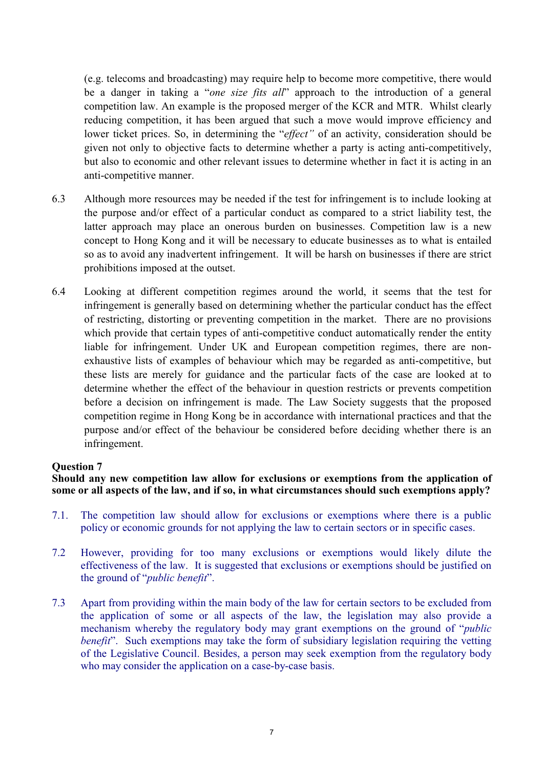(e.g. telecoms and broadcasting) may require help to become more competitive, there would be a danger in taking a "one size fits all" approach to the introduction of a general competition law. An example is the proposed merger of the KCR and MTR. Whilst clearly reducing competition, it has been argued that such a move would improve efficiency and lower ticket prices. So, in determining the "*effect*" of an activity, consideration should be given not only to objective facts to determine whether a party is acting anti-competitively. but also to economic and other relevant issues to determine whether in fact it is acting in an anti-competitive manner.

- 6.3 Although more resources may be needed if the test for infringement is to include looking at the purpose and/or effect of a particular conduct as compared to a strict liability test, the latter approach may place an onerous burden on businesses. Competition law is a new concept to Hong Kong and it will be necessary to educate businesses as to what is entailed so as to avoid any inadvertent infringement. It will be harsh on businesses if there are strict prohibitions imposed at the outset.
- 6.4 Looking at different competition regimes around the world, it seems that the test for infringement is generally based on determining whether the particular conduct has the effect of restricting, distorting or preventing competition in the market. There are no provisions which provide that certain types of anti-competitive conduct automatically render the entity liable for infringement. Under UK and European competition regimes, there are nonexhaustive lists of examples of behaviour which may be regarded as anti-competitive, but these lists are merely for guidance and the particular facts of the case are looked at to determine whether the effect of the behaviour in question restricts or prevents competition before a decision on infringement is made. The Law Society suggests that the proposed competition regime in Hong Kong be in accordance with international practices and that the purpose and/or effect of the behaviour be considered before deciding whether there is an infringement.

### **Ouestion 7**

#### Should any new competition law allow for exclusions or exemptions from the application of some or all aspects of the law, and if so, in what circumstances should such exemptions apply?

- $7.1.$ The competition law should allow for exclusions or exemptions where there is a public policy or economic grounds for not applying the law to certain sectors or in specific cases.
- $7.2$ However, providing for too many exclusions or exemptions would likely dilute the effectiveness of the law. It is suggested that exclusions or exemptions should be justified on the ground of "*public benefit*".
- $7.3$ Apart from providing within the main body of the law for certain sectors to be excluded from the application of some or all aspects of the law, the legislation may also provide a mechanism whereby the regulatory body may grant exemptions on the ground of "*public benefit*". Such exemptions may take the form of subsidiary legislation requiring the vetting of the Legislative Council. Besides, a person may seek exemption from the regulatory body who may consider the application on a case-by-case basis.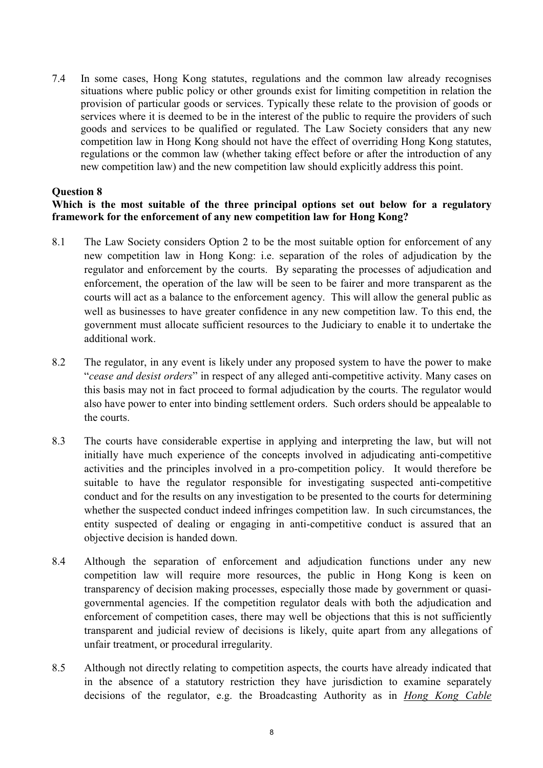$7.4$ In some cases, Hong Kong statutes, regulations and the common law already recognises situations where public policy or other grounds exist for limiting competition in relation the provision of particular goods or services. Typically these relate to the provision of goods or services where it is deemed to be in the interest of the public to require the providers of such goods and services to be qualified or regulated. The Law Society considers that any new competition law in Hong Kong should not have the effect of overriding Hong Kong statutes, regulations or the common law (whether taking effect before or after the introduction of any new competition law) and the new competition law should explicitly address this point.

# **Question 8**

# Which is the most suitable of the three principal options set out below for a regulatory framework for the enforcement of any new competition law for Hong Kong?

- 8.1 The Law Society considers Option 2 to be the most suitable option for enforcement of any new competition law in Hong Kong: i.e. separation of the roles of adjudication by the regulator and enforcement by the courts. By separating the processes of adjudication and enforcement, the operation of the law will be seen to be fairer and more transparent as the courts will act as a balance to the enforcement agency. This will allow the general public as well as businesses to have greater confidence in any new competition law. To this end, the government must allocate sufficient resources to the Judiciary to enable it to undertake the additional work.
- 8.2 The regulator, in any event is likely under any proposed system to have the power to make *cease and desist orders*" in respect of any alleged anti-competitive activity. Many cases on this basis may not in fact proceed to formal adjudication by the courts. The regulator would also have power to enter into binding settlement orders. Such orders should be appealable to the courts.
- 8.3 The courts have considerable expertise in applying and interpreting the law, but will not initially have much experience of the concepts involved in adjudicating anti-competitive activities and the principles involved in a pro-competition policy. It would therefore be suitable to have the regulator responsible for investigating suspected anti-competitive conduct and for the results on any investigation to be presented to the courts for determining whether the suspected conduct indeed infringes competition law. In such circumstances, the entity suspected of dealing or engaging in anti-competitive conduct is assured that an objective decision is handed down.
- 8.4 Although the separation of enforcement and adjudication functions under any new competition law will require more resources, the public in Hong Kong is keen on transparency of decision making processes, especially those made by government or quasigovernmental agencies. If the competition regulator deals with both the adjudication and enforcement of competition cases, there may well be objections that this is not sufficiently transparent and judicial review of decisions is likely, quite apart from any allegations of unfair treatment, or procedural irregularity.
- 8.5 Although not directly relating to competition aspects, the courts have already indicated that in the absence of a statutory restriction they have jurisdiction to examine separately decisions of the regulator, e.g. the Broadcasting Authority as in *Hong Kong Cable*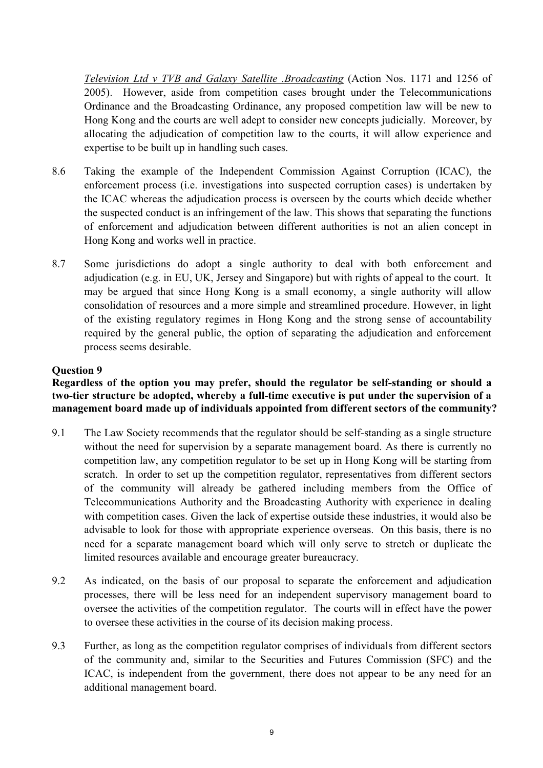Television Ltd v TVB and Galaxy Satellite .Broadcasting (Action Nos. 1171 and 1256 of 2005). However, aside from competition cases brought under the Telecommunications Ordinance and the Broadcasting Ordinance, any proposed competition law will be new to Hong Kong and the courts are well adept to consider new concepts judicially. Moreover, by allocating the adjudication of competition law to the courts, it will allow experience and expertise to be built up in handling such cases.

- 8.6 Taking the example of the Independent Commission Against Corruption (ICAC), the enforcement process (*i.e.* investigations into suspected corruption cases) is undertaken by the ICAC whereas the adjudication process is overseen by the courts which decide whether the suspected conduct is an infringement of the law. This shows that separating the functions of enforcement and adjudication between different authorities is not an alien concept in Hong Kong and works well in practice.
- 8.7 Some jurisdictions do adopt a single authority to deal with both enforcement and adjudication (e.g. in EU, UK, Jersey and Singapore) but with rights of appeal to the court. It may be argued that since Hong Kong is a small economy, a single authority will allow consolidation of resources and a more simple and streamlined procedure. However, in light of the existing regulatory regimes in Hong Kong and the strong sense of accountability required by the general public, the option of separating the adjudication and enforcement process seems desirable.

# **Ouestion 9**

Regardless of the option you may prefer, should the regulator be self-standing or should a two-tier structure be adopted, whereby a full-time executive is put under the supervision of a management board made up of individuals appointed from different sectors of the community?

- $9.1$ The Law Society recommends that the regulator should be self-standing as a single structure without the need for supervision by a separate management board. As there is currently no competition law, any competition regulator to be set up in Hong Kong will be starting from scratch. In order to set up the competition regulator, representatives from different sectors of the community will already be gathered including members from the Office of Telecommunications Authority and the Broadcasting Authority with experience in dealing with competition cases. Given the lack of expertise outside these industries, it would also be advisable to look for those with appropriate experience overseas. On this basis, there is no need for a separate management board which will only serve to stretch or duplicate the limited resources available and encourage greater bureaucracy.
- As indicated, on the basis of our proposal to separate the enforcement and adjudication 9.2 processes, there will be less need for an independent supervisory management board to oversee the activities of the competition regulator. The courts will in effect have the power to oversee these activities in the course of its decision making process.
- 9.3 Further, as long as the competition regulator comprises of individuals from different sectors of the community and, similar to the Securities and Futures Commission (SFC) and the ICAC, is independent from the government, there does not appear to be any need for an additional management board.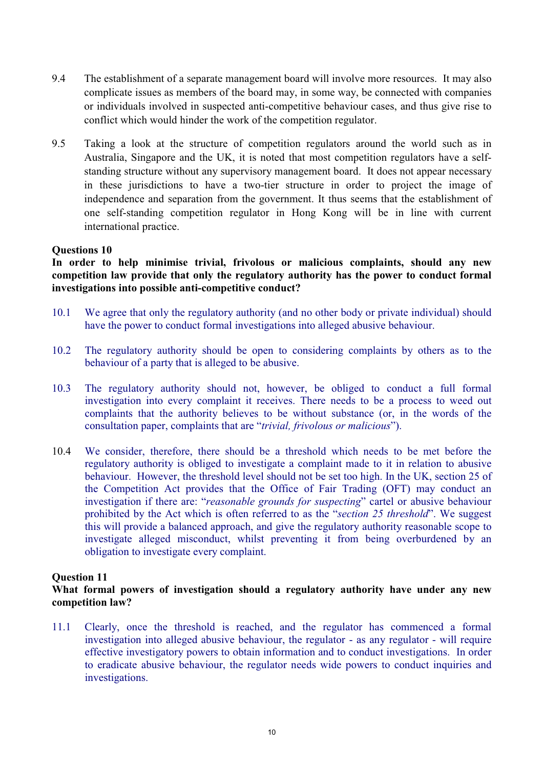- 9.4 The establishment of a separate management board will involve more resources. It may also complicate issues as members of the board may, in some way, be connected with companies or individuals involved in suspected anti-competitive behaviour cases, and thus give rise to conflict which would hinder the work of the competition regulator.
- 9.5 Taking a look at the structure of competition regulators around the world such as in Australia. Singapore and the UK, it is noted that most competition regulators have a selfstanding structure without any supervisory management board. It does not appear necessary in these jurisdictions to have a two-tier structure in order to project the image of independence and separation from the government. It thus seems that the establishment of one self-standing competition regulator in Hong Kong will be in line with current international practice.

### **Ouestions 10**

In order to help minimise trivial, frivolous or malicious complaints, should any new competition law provide that only the regulatory authority has the power to conduct formal investigations into possible anti-competitive conduct?

- 10.1 We agree that only the regulatory authority (and no other body or private individual) should have the power to conduct formal investigations into alleged abusive behaviour.
- 10.2 The regulatory authority should be open to considering complaints by others as to the behaviour of a party that is alleged to be abusive.
- $10.3$ The regulatory authority should not, however, be obliged to conduct a full formal investigation into every complaint it receives. There needs to be a process to weed out complaints that the authority believes to be without substance (or, in the words of the consultation paper, complaints that are "*trivial, frivolous or malicious*").
- $10.4$ We consider, therefore, there should be a threshold which needs to be met before the regulatory authority is obliged to investigate a complaint made to it in relation to abusive behaviour. However, the threshold level should not be set too high. In the UK, section 25 of the Competition Act provides that the Office of Fair Trading (OFT) may conduct an investigation if there are: "reasonable grounds for suspecting" cartel or abusive behaviour prohibited by the Act which is often referred to as the "section 25 threshold". We suggest this will provide a balanced approach, and give the regulatory authority reasonable scope to investigate alleged misconduct, whilst preventing it from being overburdened by an obligation to investigate every complaint.

### **Ouestion 11**

# What formal powers of investigation should a regulatory authority have under any new competition law?

Clearly, once the threshold is reached, and the regulator has commenced a formal  $11.1$ investigation into alleged abusive behaviour, the regulator - as any regulator - will require effective investigatory powers to obtain information and to conduct investigations. In order to eradicate abusive behaviour, the regulator needs wide powers to conduct inquiries and investigations.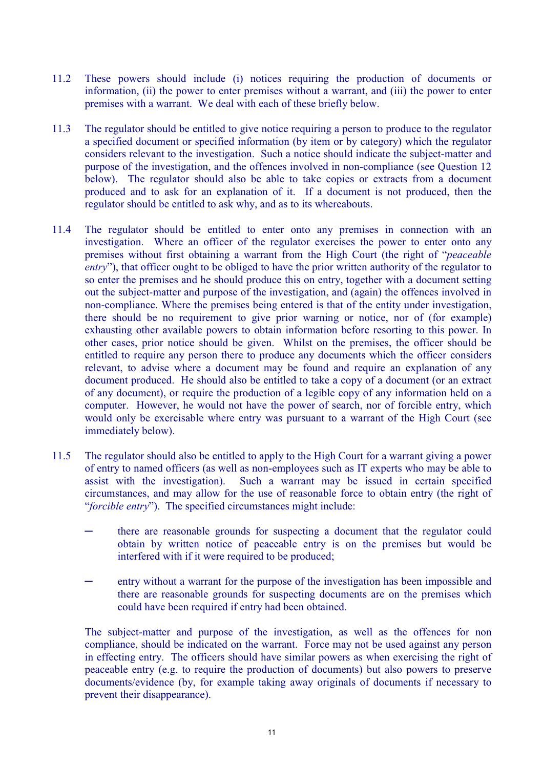- These powers should include (i) notices requiring the production of documents or  $11.2$ information, (ii) the power to enter premises without a warrant, and (iii) the power to enter premises with a warrant. We deal with each of these briefly below.
- The regulator should be entitled to give notice requiring a person to produce to the regulator  $11.3$ a specified document or specified information (by item or by category) which the regulator considers relevant to the investigation. Such a notice should indicate the subject-matter and purpose of the investigation, and the offences involved in non-compliance (see Question 12) below). The regulator should also be able to take copies or extracts from a document produced and to ask for an explanation of it. If a document is not produced, then the regulator should be entitled to ask why, and as to its whereabouts.
- 11.4 The regulator should be entitled to enter onto any premises in connection with an investigation. Where an officer of the regulator exercises the power to enter onto any premises without first obtaining a warrant from the High Court (the right of "*peaceable* entry"), that officer ought to be obliged to have the prior written authority of the regulator to so enter the premises and he should produce this on entry, together with a document setting out the subject-matter and purpose of the investigation, and (again) the offences involved in non-compliance. Where the premises being entered is that of the entity under investigation, there should be no requirement to give prior warning or notice, nor of (for example) exhausting other available powers to obtain information before resorting to this power. In other cases, prior notice should be given. Whilst on the premises, the officer should be entitled to require any person there to produce any documents which the officer considers relevant, to advise where a document may be found and require an explanation of any document produced. He should also be entitled to take a copy of a document (or an extract of any document), or require the production of a legible copy of any information held on a computer. However, he would not have the power of search, nor of forcible entry, which would only be exercisable where entry was pursuant to a warrant of the High Court (see immediately below).
- $11.5$ The regulator should also be entitled to apply to the High Court for a warrant giving a power of entry to named officers (as well as non-employees such as IT experts who may be able to assist with the investigation). Such a warrant may be issued in certain specified circumstances, and may allow for the use of reasonable force to obtain entry (the right of "forcible entry"). The specified circumstances might include:
	- there are reasonable grounds for suspecting a document that the regulator could obtain by written notice of peaceable entry is on the premises but would be interfered with if it were required to be produced;
	- entry without a warrant for the purpose of the investigation has been impossible and there are reasonable grounds for suspecting documents are on the premises which could have been required if entry had been obtained.

The subject-matter and purpose of the investigation, as well as the offences for non compliance, should be indicated on the warrant. Force may not be used against any person in effecting entry. The officers should have similar powers as when exercising the right of peaceable entry (e.g. to require the production of documents) but also powers to preserve documents/evidence (by, for example taking away originals of documents if necessary to prevent their disappearance).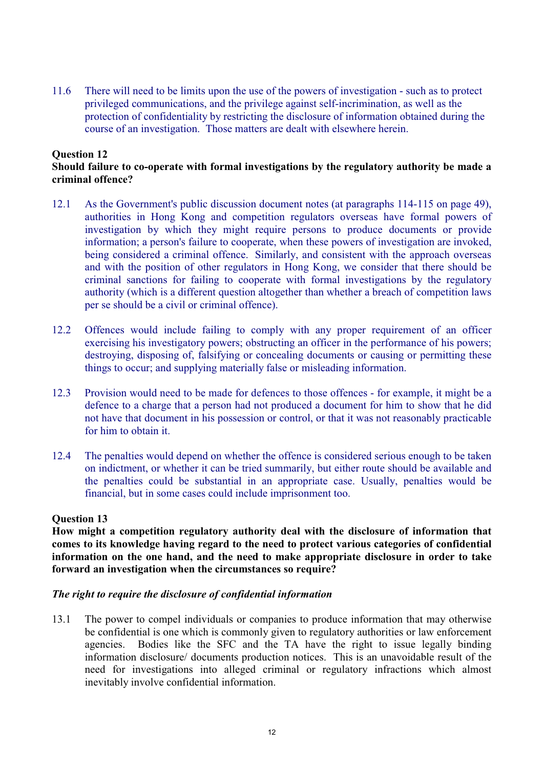$11.6$ There will need to be limits upon the use of the powers of investigation - such as to protect privileged communications, and the privilege against self-incrimination, as well as the protection of confidentiality by restricting the disclosure of information obtained during the course of an investigation. Those matters are dealt with elsewhere herein.

#### **Ouestion 12** Should failure to co-operate with formal investigations by the regulatory authority be made a criminal offence?

- As the Government's public discussion document notes (at paragraphs 114-115 on page 49).  $12.1$ authorities in Hong Kong and competition regulators overseas have formal powers of investigation by which they might require persons to produce documents or provide information; a person's failure to cooperate, when these powers of investigation are invoked, being considered a criminal offence. Similarly, and consistent with the approach overseas and with the position of other regulators in Hong Kong, we consider that there should be criminal sanctions for failing to cooperate with formal investigations by the regulatory authority (which is a different question altogether than whether a breach of competition laws per se should be a civil or criminal offence).
- 12.2 Offences would include failing to comply with any proper requirement of an officer exercising his investigatory powers; obstructing an officer in the performance of his powers; destroving, disposing of, falsifying or concealing documents or causing or permitting these things to occur; and supplying materially false or misleading information.
- $12.3$ Provision would need to be made for defences to those offences - for example, it might be a defence to a charge that a person had not produced a document for him to show that he did not have that document in his possession or control, or that it was not reasonably practicable for him to obtain it
- $12.4$ The penalties would depend on whether the offence is considered serious enough to be taken on indictment, or whether it can be tried summarily, but either route should be available and the penalties could be substantial in an appropriate case. Usually, penalties would be financial, but in some cases could include imprisonment too.

# **Ouestion 13**

How might a competition regulatory authority deal with the disclosure of information that comes to its knowledge having regard to the need to protect various categories of confidential information on the one hand, and the need to make appropriate disclosure in order to take forward an investigation when the circumstances so require?

### The right to require the disclosure of confidential information

 $13.1$ The power to compel individuals or companies to produce information that may otherwise be confidential is one which is commonly given to regulatory authorities or law enforcement Bodies like the SFC and the TA have the right to issue legally binding agencies. information disclosure/ documents production notices. This is an unavoidable result of the need for investigations into alleged criminal or regulatory infractions which almost inevitably involve confidential information.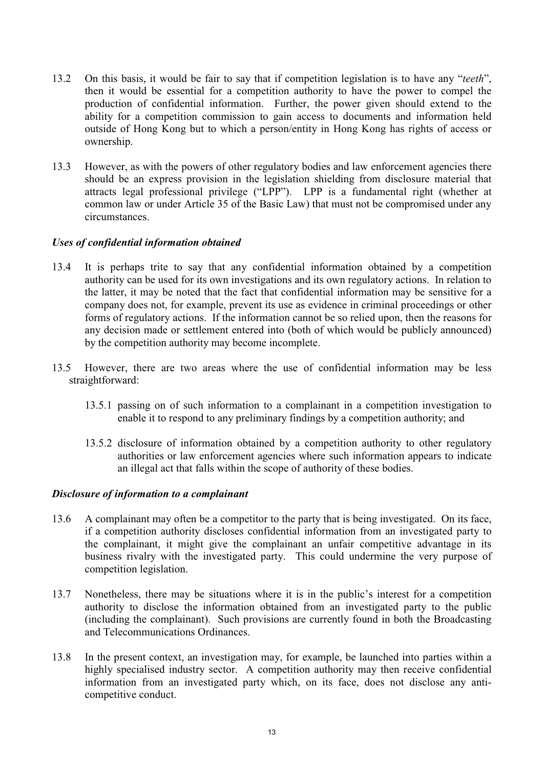- On this basis, it would be fair to say that if competition legislation is to have any "teeth".  $13.2$ then it would be essential for a competition authority to have the power to compel the production of confidential information. Further, the power given should extend to the ability for a competition commission to gain access to documents and information held outside of Hong Kong but to which a person/entity in Hong Kong has rights of access or ownership.
- $13.3$ However, as with the powers of other regulatory bodies and law enforcement agencies there should be an express provision in the legislation shielding from disclosure material that attracts legal professional privilege ("LPP"). LPP is a fundamental right (whether at common law or under Article 35 of the Basic Law) that must not be compromised under any circumstances

# Uses of confidential information obtained

- 134 It is perhaps trite to say that any confidential information obtained by a competition authority can be used for its own investigations and its own regulatory actions. In relation to the latter, it may be noted that the fact that confidential information may be sensitive for a company does not, for example, prevent its use as evidence in criminal proceedings or other forms of regulatory actions. If the information cannot be so relied upon, then the reasons for any decision made or settlement entered into (both of which would be publicly announced) by the competition authority may become incomplete.
- $13.5$ However, there are two areas where the use of confidential information may be less straightforward:
	- 13.5.1 passing on of such information to a complainant in a competition investigation to enable it to respond to any preliminary findings by a competition authority; and
	- 13.5.2 disclosure of information obtained by a competition authority to other regulatory authorities or law enforcement agencies where such information appears to indicate an illegal act that falls within the scope of authority of these bodies.

### Disclosure of information to a complainant

- A complainant may often be a competitor to the party that is being investigated. On its face, 13.6 if a competition authority discloses confidential information from an investigated party to the complainant, it might give the complainant an unfair competitive advantage in its business rivalry with the investigated party. This could undermine the very purpose of competition legislation.
- 13.7 Nonetheless, there may be situations where it is in the public's interest for a competition authority to disclose the information obtained from an investigated party to the public (including the complainant). Such provisions are currently found in both the Broadcasting and Telecommunications Ordinances.
- 13.8 In the present context, an investigation may, for example, be launched into parties within a highly specialised industry sector. A competition authority may then receive confidential information from an investigated party which, on its face, does not disclose any anticompetitive conduct.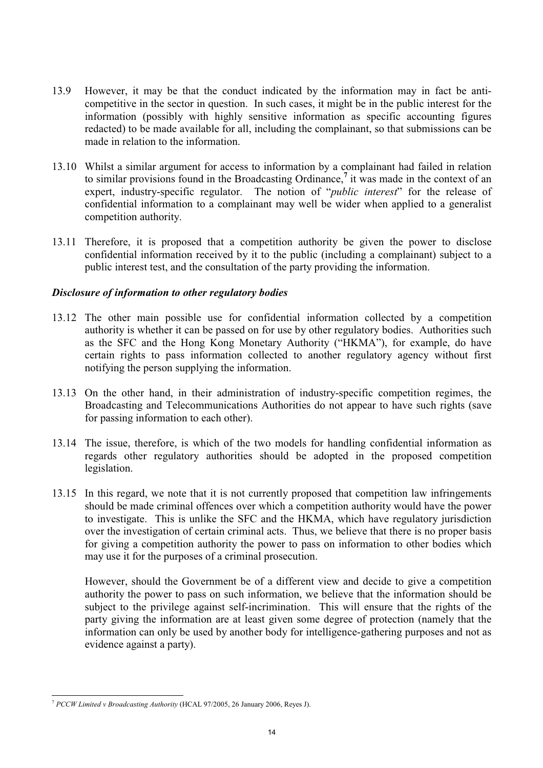- 13.9 However, it may be that the conduct indicated by the information may in fact be anticompetitive in the sector in question. In such cases, it might be in the public interest for the information (possibly with highly sensitive information as specific accounting figures redacted) to be made available for all, including the complainant, so that submissions can be made in relation to the information
- 13.10 Whilst a similar argument for access to information by a complainant had failed in relation to similar provisions found in the Broadcasting Ordinance,  $\frac{7}{1}$  it was made in the context of an expert, industry-specific regulator. The notion of "*public interest*" for the release of confidential information to a complainant may well be wider when applied to a generalist competition authority.
- 13.11 Therefore, it is proposed that a competition authority be given the power to disclose confidential information received by it to the public (including a complainant) subject to a public interest test, and the consultation of the party providing the information.

# Disclosure of information to other regulatory bodies

- 13.12 The other main possible use for confidential information collected by a competition authority is whether it can be passed on for use by other regulatory bodies. Authorities such as the SFC and the Hong Kong Monetary Authority ("HKMA"), for example, do have certain rights to pass information collected to another regulatory agency without first notifying the person supplying the information.
- 13.13 On the other hand, in their administration of industry-specific competition regimes, the Broadcasting and Telecommunications Authorities do not appear to have such rights (save for passing information to each other).
- 13.14 The issue, therefore, is which of the two models for handling confidential information as regards other regulatory authorities should be adopted in the proposed competition legislation.
- 13.15 In this regard, we note that it is not currently proposed that competition law infringements should be made criminal offences over which a competition authority would have the power to investigate. This is unlike the SFC and the HKMA, which have regulatory jurisdiction over the investigation of certain criminal acts. Thus, we believe that there is no proper basis for giving a competition authority the power to pass on information to other bodies which may use it for the purposes of a criminal prosecution.

However, should the Government be of a different view and decide to give a competition authority the power to pass on such information, we believe that the information should be subject to the privilege against self-incrimination. This will ensure that the rights of the party giving the information are at least given some degree of protection (namely that the information can only be used by another body for intelligence-gathering purposes and not as evidence against a party).

<sup>&</sup>lt;sup>7</sup> PCCW Limited v Broadcasting Authority (HCAL 97/2005, 26 January 2006, Reyes J).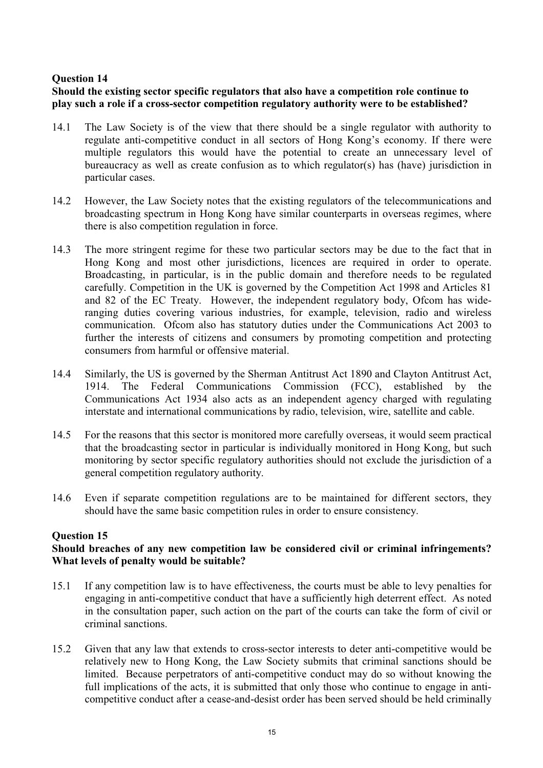# **Ouestion 14**

# Should the existing sector specific regulators that also have a competition role continue to play such a role if a cross-sector competition regulatory authority were to be established?

- $14.1$ The Law Society is of the view that there should be a single regulator with authority to regulate anti-competitive conduct in all sectors of Hong Kong's economy. If there were multiple regulators this would have the potential to create an unnecessary level of bureaucracy as well as create confusion as to which regulator(s) has (have) jurisdiction in particular cases.
- 14.2 However, the Law Society notes that the existing regulators of the telecommunications and broadcasting spectrum in Hong Kong have similar counterparts in overseas regimes, where there is also competition regulation in force.
- $14.3$ The more stringent regime for these two particular sectors may be due to the fact that in Hong Kong and most other jurisdictions, licences are required in order to operate. Broadcasting, in particular, is in the public domain and therefore needs to be regulated carefully. Competition in the UK is governed by the Competition Act 1998 and Articles 81 and 82 of the EC Treaty. However, the independent regulatory body, Ofcom has wideranging duties covering various industries, for example, television, radio and wireless communication. Of com also has statutory duties under the Communications Act 2003 to further the interests of citizens and consumers by promoting competition and protecting consumers from harmful or offensive material.
- Similarly, the US is governed by the Sherman Antitrust Act 1890 and Clayton Antitrust Act, 14.4 1914 The Federal Communications Commission (FCC), established by the Communications Act 1934 also acts as an independent agency charged with regulating interstate and international communications by radio, television, wire, satellite and cable.
- $14.5$ For the reasons that this sector is monitored more carefully overseas, it would seem practical that the broadcasting sector in particular is individually monitored in Hong Kong. but such monitoring by sector specific regulatory authorities should not exclude the jurisdiction of a general competition regulatory authority.
- $146$ Even if separate competition regulations are to be maintained for different sectors, they should have the same basic competition rules in order to ensure consistency.

# **Ouestion 15**

# Should breaches of any new competition law be considered civil or criminal infringements? What levels of penalty would be suitable?

- $15.1$ If any competition law is to have effectiveness, the courts must be able to levy penalties for engaging in anti-competitive conduct that have a sufficiently high deterrent effect. As noted in the consultation paper, such action on the part of the courts can take the form of civil or criminal sanctions.
- $15.2$ Given that any law that extends to cross-sector interests to deter anti-competitive would be relatively new to Hong Kong, the Law Society submits that criminal sanctions should be limited. Because perpetrators of anti-competitive conduct may do so without knowing the full implications of the acts, it is submitted that only those who continue to engage in anticompetitive conduct after a cease-and-desist order has been served should be held criminally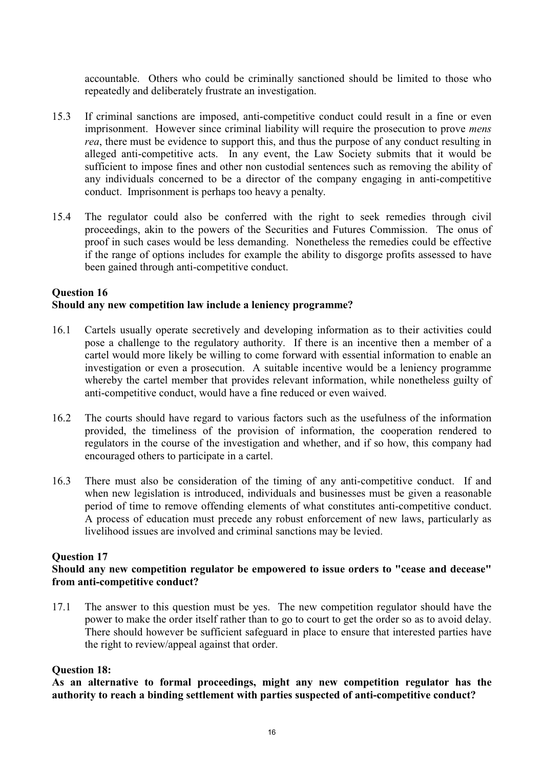accountable. Others who could be criminally sanctioned should be limited to those who repeatedly and deliberately frustrate an investigation.

- $15.3$ If criminal sanctions are imposed, anti-competitive conduct could result in a fine or even imprisonment. However since criminal liability will require the prosecution to prove *mens* rea, there must be evidence to support this, and thus the purpose of any conduct resulting in alleged anti-competitive acts. In any event, the Law Society submits that it would be sufficient to impose fines and other non custodial sentences such as removing the ability of any individuals concerned to be a director of the company engaging in anti-competitive conduct. Imprisonment is perhaps too heavy a penalty.
- $154$ The regulator could also be conferred with the right to seek remedies through civil proceedings, akin to the powers of the Securities and Futures Commission. The onus of proof in such cases would be less demanding. Nonetheless the remedies could be effective if the range of options includes for example the ability to disgorge profits assessed to have been gained through anti-competitive conduct.

# **Ouestion 16** Should any new competition law include a leniency programme?

- 16.1 Cartels usually operate secretively and developing information as to their activities could pose a challenge to the regulatory authority. If there is an incentive then a member of a cartel would more likely be willing to come forward with essential information to enable an investigation or even a prosecution. A suitable incentive would be a leniency programme whereby the cartel member that provides relevant information, while nonetheless guilty of anti-competitive conduct, would have a fine reduced or even waived.
- 16.2 The courts should have regard to various factors such as the usefulness of the information provided, the timeliness of the provision of information, the cooperation rendered to regulators in the course of the investigation and whether, and if so how, this company had encouraged others to participate in a cartel.
- 16.3 There must also be consideration of the timing of any anti-competitive conduct. If and when new legislation is introduced, individuals and businesses must be given a reasonable period of time to remove offending elements of what constitutes anti-competitive conduct. A process of education must precede any robust enforcement of new laws, particularly as livelihood issues are involved and criminal sanctions may be levied.

### **Ouestion 17**

### Should any new competition regulator be empowered to issue orders to "cease and decease" from anti-competitive conduct?

 $171$ The answer to this question must be yes. The new competition regulator should have the power to make the order itself rather than to go to court to get the order so as to avoid delay. There should however be sufficient safeguard in place to ensure that interested parties have the right to review/appeal against that order.

### **Ouestion 18:**

As an alternative to formal proceedings, might any new competition regulator has the authority to reach a binding settlement with parties suspected of anti-competitive conduct?